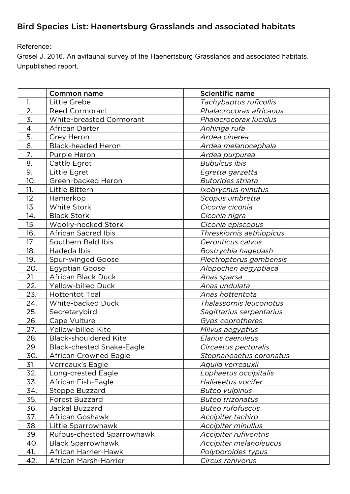## Bird Species List: Haenertsburg Grasslands and associated habitats

Reference:

Grosel J. 2016. An avifaunal survey of the Haenertsburg Grasslands and associated habitats. Unpublished report.

|                  | <b>Common name</b>               | <b>Scientific name</b>       |
|------------------|----------------------------------|------------------------------|
| 1.               | Little Grebe                     | Tachybaptus ruficollis       |
| $\overline{2}$ . | Reed Cormorant                   | Phalacrocorax africanus      |
| 3.               | White-breasted Cormorant         | Phalacrocorax lucidus        |
| 4.               | African Darter                   | Anhinga rufa                 |
| 5.               | <b>Grey Heron</b>                | Ardea cinerea                |
| 6.               | <b>Black-headed Heron</b>        | Ardea melanocephala          |
| $\overline{7}$ . | Purple Heron                     | Ardea purpurea               |
| 8.               | Cattle Egret                     | <b>Bubulcus ibis</b>         |
| 9.               | Little Egret                     | Egretta garzetta             |
| 10.              | Green-backed Heron               | <b>Butorides striata</b>     |
| 11.              | Little Bittern                   | Ixobrychus minutus           |
| 12.              | Hamerkop                         | Scopus umbretta              |
| 13.              | White Stork                      | Ciconia ciconia              |
| 14.              | <b>Black Stork</b>               | Ciconia nigra                |
| 15.              | Woolly-necked Stork              | Ciconia episcopus            |
| 16.              | <b>African Sacred Ibis</b>       | Threskiornis aethiopicus     |
| 17.              | Southern Bald Ibis               | Geronticus calvus            |
| 18.              | Hadeda Ibis                      | Bostrychia hagedash          |
| 19.              | <b>Spur-winged Goose</b>         | Plectropterus gambensis      |
| 20.              | <b>Egyptian Goose</b>            | Alopochen aegyptiaca         |
| 21.              | African Black Duck               | Anas sparsa                  |
| 22.              | Yellow-billed Duck               | Anas undulata                |
| 23.              | <b>Hottentot Teal</b>            | Anas hottentota              |
| 24.              | White-backed Duck                | Thalassornis leuconotus      |
| 25.              | Secretarybird                    | Sagittarius serpentarius     |
| 26.              | Cape Vulture                     | Gyps coprotheres             |
| 27.              | Yellow-billed Kite               | Milvus aegyptius             |
| 28.              | <b>Black-shouldered Kite</b>     | Elanus caeruleus             |
| 29.              | <b>Black-chested Snake-Eagle</b> | Circaetus pectoralis         |
| 30.              | <b>African Crowned Eagle</b>     | Stephanoaetus coronatus      |
| 31.              | Verreaux's Eagle                 | Aquila verreauxii            |
| 32.              | Long-crested Eagle               | Lophaetus occipitalis        |
| 33.              | African Fish-Eagle               | Haliaeetus vocifer           |
| 34.              | Steppe Buzzard                   | <b>Buteo vulpinus</b>        |
| 35.              | Forest Buzzard                   | <b>Buteo trizonatus</b>      |
| 36.              | Jackal Buzzard                   | <b>Buteo rufofuscus</b>      |
| 37.              | African Goshawk                  | Accipiter tachiro            |
| 38.              | Little Sparrowhawk               | Accipiter minullus           |
| 39.              | Rufous-chested Sparrowhawk       | <i>Accipiter rufiventris</i> |
| 40.              | <b>Black Sparrowhawk</b>         | Accipiter melanoleucus       |
| 41.              | African Harrier-Hawk             | Polyboroides typus           |
| 42.              | African Marsh-Harrier            | Circus ranivorus             |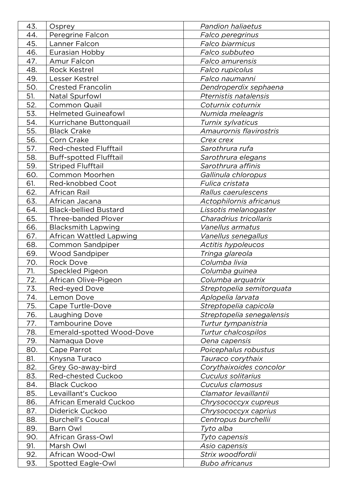| 43. | Osprey                        | <b>Pandion haliaetus</b>  |
|-----|-------------------------------|---------------------------|
| 44. | Peregrine Falcon              | <b>Falco peregrinus</b>   |
| 45. | Lanner Falcon                 | Falco biarmicus           |
| 46. | Eurasian Hobby                | Falco subbuteo            |
| 47. | Amur Falcon                   | <i>Falco amurensis</i>    |
| 48. | <b>Rock Kestrel</b>           | <u>Falco rupicolus</u>    |
| 49. | Lesser Kestrel                | Falco naumanni            |
| 50. | <b>Crested Francolin</b>      | Dendroperdix sephaena     |
| 51. | Natal Spurfowl                | Pternistis natalensis     |
| 52. | <b>Common Quail</b>           | Coturnix coturnix         |
| 53. | <b>Helmeted Guineafowl</b>    | Numida meleagris          |
| 54. | Kurrichane Buttonquail        | Turnix sylvaticus         |
| 55. | <b>Black Crake</b>            | Amaurornis flavirostris   |
| 56. | Corn Crake                    | Crex crex                 |
| 57. | Red-chested Flufftail         | Sarothrura rufa           |
| 58. | <b>Buff-spotted Flufftail</b> | Sarothrura elegans        |
| 59. | <b>Striped Flufftail</b>      | Sarothrura affinis        |
| 60. | Common Moorhen                | Gallinula chloropus       |
| 61. | Red-knobbed Coot              | Fulica cristata           |
| 62. | African Rail                  | Rallus caerulescens       |
| 63. | African Jacana                | Actophilornis africanus   |
| 64. | <b>Black-bellied Bustard</b>  | Lissotis melanogaster     |
| 65. | <b>Three-banded Plover</b>    | Charadrius tricollaris    |
| 66. | <b>Blacksmith Lapwing</b>     | Vanellus armatus          |
| 67. | African Wattled Lapwing       | Vanellus senegallus       |
| 68. | Common Sandpiper              | <b>Actitis hypoleucos</b> |
| 69. | Wood Sandpiper                | Tringa glareola           |
| 70. | <b>Rock Dove</b>              | Columba livia             |
| 71. | Speckled Pigeon               | Columba guinea            |
| 72. | African Olive-Pigeon          | Columba arquatrix         |
| 73. | Red-eyed Dove                 | Streptopelia semitorquata |
| 74. | Lemon Dove                    | Aplopelia larvata         |
| 75. | Cape Turtle-Dove              | Streptopelia capicola     |
| 76. | Laughing Dove                 | Streptopelia senegalensis |
| 77. | <b>Tambourine Dove</b>        | Turtur tympanistria       |
| 78. | Emerald-spotted Wood-Dove     | Turtur chalcospilos       |
| 79. | Namaqua Dove                  | Oena capensis             |
| 80. | Cape Parrot                   | Poicephalus robustus      |
| 81. | Knysna Turaco                 | Tauraco corythaix         |
| 82. | Grey Go-away-bird             | Corythaixoides concolor   |
| 83. | Red-chested Cuckoo            | Cuculus solitarius        |
| 84. | <b>Black Cuckoo</b>           | Cuculus clamosus          |
| 85. | Levaillant's Cuckoo           | Clamator levaillantii     |
| 86. | African Emerald Cuckoo        | Chrysococcyx cupreus      |
| 87. | Diderick Cuckoo               | Chrysococcyx caprius      |
| 88. | <b>Burchell's Coucal</b>      | Centropus burchellii      |
| 89. | Barn Owl                      | Tyto alba                 |
| 90. | African Grass-Owl             | Tyto capensis             |
| 91. | Marsh Owl                     | Asio capensis             |
| 92. | African Wood-Owl              | Strix woodfordii          |
| 93. | Spotted Eagle-Owl             | <b>Bubo africanus</b>     |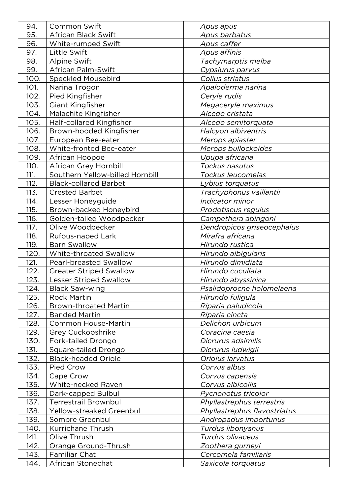| 94.  | Common Swift                    | Apus apus                    |
|------|---------------------------------|------------------------------|
| 95.  | African Black Swift             | Apus barbatus                |
| 96.  | White-rumped Swift              | Apus caffer                  |
| 97.  | Little Swift                    | Apus affinis                 |
| 98.  | Alpine Swift                    | Tachymarptis melba           |
| 99.  | African Palm-Swift              | Cypsiurus parvus             |
| 100. | <b>Speckled Mousebird</b>       | Colius striatus              |
| 101. | Narina Trogon                   | Apaloderma narina            |
| 102. | Pied Kingfisher                 | Ceryle rudis                 |
| 103. | Giant Kingfisher                | Megaceryle maximus           |
| 104. | Malachite Kingfisher            | Alcedo cristata              |
| 105. | Half-collared Kingfisher        | Alcedo semitorquata          |
| 106. | Brown-hooded Kingfisher         | Halcyon albiventris          |
| 107. | European Bee-eater              | Merops apiaster              |
| 108. | White-fronted Bee-eater         | Merops bullockoides          |
| 109. | African Hoopoe                  | Upupa africana               |
| 110. | African Grey Hornbill           | Tockus nasutus               |
| 111. | Southern Yellow-billed Hornbill | Tockus leucomelas            |
| 112. | <b>Black-collared Barbet</b>    | Lybius torquatus             |
| 113. | <b>Crested Barbet</b>           | Trachyphonus vaillantii      |
| 114. | Lesser Honeyguide               | Indicator minor              |
| 115. | Brown-backed Honeybird          | Prodotiscus regulus          |
| 116. | Golden-tailed Woodpecker        | Campethera abingoni          |
| 117. | Olive Woodpecker                | Dendropicos griseocephalus   |
| 118. | Rufous-naped Lark               | Mirafra africana             |
| 119. | <b>Barn Swallow</b>             | Hirundo rustica              |
| 120. | White-throated Swallow          | Hirundo albigularis          |
| 121. | Pearl-breasted Swallow          | Hirundo dimidiata            |
| 122. | <b>Greater Striped Swallow</b>  | Hirundo cucullata            |
| 123. | <b>Lesser Striped Swallow</b>   | Hirundo abyssinica           |
| 124. | <b>Black Saw-wing</b>           | Psalidoprocne holomelaena    |
| 125. | <b>Rock Martin</b>              | Hirundo fuligula             |
| 126. | <b>Brown-throated Martin</b>    | Riparia paludicola           |
| 127. | <b>Banded Martin</b>            | Riparia cincta               |
| 128. | Common House-Martin             | Delichon urbicum             |
| 129. | Grey Cuckooshrike               | Coracina caesia              |
| 130. | Fork-tailed Drongo              | Dicrurus adsimilis           |
| 131. | Square-tailed Drongo            | Dicrurus ludwigii            |
| 132. | <b>Black-headed Oriole</b>      | Oriolus larvatus             |
| 133. | Pied Crow                       | Corvus albus                 |
| 134. | Cape Crow                       | Corvus capensis              |
| 135. | White-necked Raven              | Corvus albicollis            |
| 136. | Dark-capped Bulbul              | Pycnonotus tricolor          |
| 137. | Terrestrail Brownbul            | Phyllastrephus terrestris    |
| 138. | Yellow-streaked Greenbul        | Phyllastrephus flavostriatus |
| 139. | Sombre Greenbul                 | Andropadus importunus        |
| 140. | Kurrichane Thrush               | Turdus libonyanus            |
| 141. | Olive Thrush                    | Turdus olivaceus             |
| 142. | Orange Ground-Thrush            | Zoothera gurneyi             |
| 143. | Familiar Chat                   | Cercomela familiaris         |
| 144. | African Stonechat               | Saxicola torquatus           |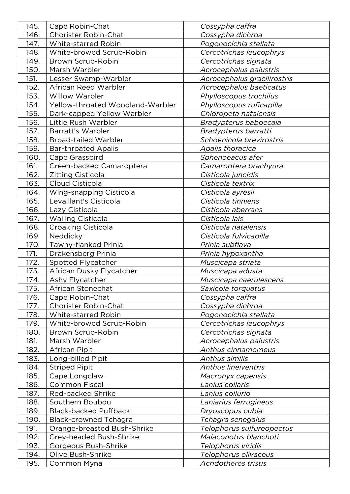| 145. | Cape Robin-Chat                  | Cossypha caffra             |
|------|----------------------------------|-----------------------------|
| 146. | Chorister Robin-Chat             | Cossypha dichroa            |
| 147. | White-starred Robin              | Pogonocichla stellata       |
| 148. | White-browed Scrub-Robin         | Cercotrichas leucophrys     |
| 149. | Brown Scrub-Robin                | Cercotrichas signata        |
| 150. | Marsh Warbler                    | Acrocephalus palustris      |
| 151. | Lesser Swamp-Warbler             | Acrocephalus gracilirostris |
| 152. | African Reed Warbler             | Acrocephalus baeticatus     |
| 153. | <b>Willow Warbler</b>            | Phylloscopus trochilus      |
| 154. | Yellow-throated Woodland-Warbler | Phylloscopus ruficapilla    |
| 155. | Dark-capped Yellow Warbler       | Chloropeta natalensis       |
| 156. | Little Rush Warbler              | Bradypterus baboecala       |
| 157. | Barratt's Warbler                | Bradypterus barratti        |
| 158. | <b>Broad-tailed Warbler</b>      | Schoenicola brevirostris    |
| 159. | <b>Bar-throated Apalis</b>       | Apalis thoracica            |
| 160. | Cape Grassbird                   | Sphenoeacus afer            |
| 161. | Green-backed Camaroptera         | Camaroptera brachyura       |
| 162. | Zitting Cisticola                | Cisticola juncidis          |
| 163. | Cloud Cisticola                  | Cisticola textrix           |
| 164. | Wing-snapping Cisticola          | Cisticola ayresii           |
| 165. | Levaillant's Cisticola           | Cisticola tinniens          |
| 166. | Lazy Cisticola                   | Cisticola aberrans          |
| 167. | <b>Wailing Cisticola</b>         | Cisticola lais              |
| 168. | Croaking Cisticola               | Cisticola natalensis        |
| 169. | Neddicky                         | Cisticola fulvicapilla      |
| 170. | Tawny-flanked Prinia             | Prinia subflava             |
| 171. | Drakensberg Prinia               | <u>Prinia hypoxantha</u>    |
| 172. | Spotted Flycatcher               | Muscicapa striata           |
| 173. | African Dusky Flycatcher         | Muscicapa adusta            |
| 174. | Ashy Flycatcher                  | Muscicapa caerulescens      |
| 175. | African Stonechat                | Saxicola torquatus          |
| 176. | Cape Robin-Chat                  | Cossypha caffra             |
| 177. | <b>Chorister Robin-Chat</b>      | Cossypha dichroa            |
| 178. | White-starred Robin              | Pogonocichla stellata       |
| 179. | White-browed Scrub-Robin         | Cercotrichas leucophrys     |
| 180. | Brown Scrub-Robin                | Cercotrichas signata        |
| 181. | Marsh Warbler                    | Acrocephalus palustris      |
| 182. | African Pipit                    | Anthus cinnamomeus          |
| 183. | Long-billed Pipit                | Anthus similis              |
| 184. | <b>Striped Pipit</b>             | <b>Anthus lineiventris</b>  |
| 185. | Cape Longclaw                    | Macronyx capensis           |
| 186. | <b>Common Fiscal</b>             | Lanius collaris             |
| 187. | Red-backed Shrike                | Lanius collurio             |
| 188. | Southern Boubou                  | Laniarius ferrugineus       |
| 189. | <b>Black-backed Puffback</b>     | Dryoscopus cubla            |
| 190. | <b>Black-crowned Tchagra</b>     | Tchagra senegalus           |
| 191. | Orange-breasted Bush-Shrike      | Telophorus sulfureopectus   |
| 192. | Grey-headed Bush-Shrike          | Malaconotus blanchoti       |
| 193. | Gorgeous Bush-Shrike             | Telophorus viridis          |
| 194. | Olive Bush-Shrike                | Telophorus olivaceus        |
| 195. | Common Myna                      | <b>Acridotheres tristis</b> |